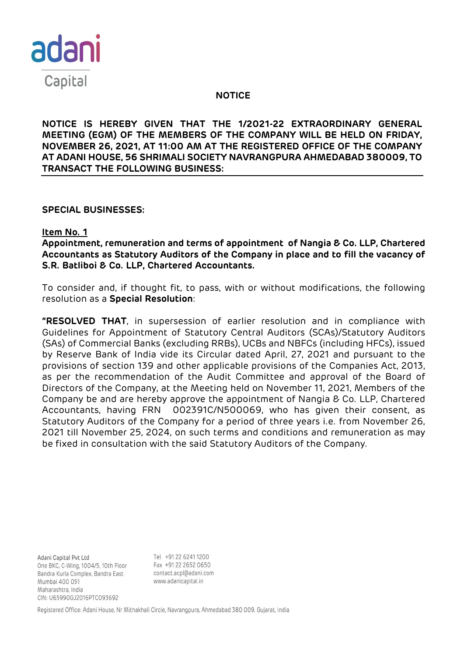

### **NOTICE**

**NOTICE IS HEREBY GIVEN THAT THE 1/2021-22 EXTRAORDINARY GENERAL MEETING (EGM) OF THE MEMBERS OF THE COMPANY WILL BE HELD ON FRIDAY, NOVEMBER 26, 2021, AT 11:00 AM AT THE REGISTERED OFFICE OF THE COMPANY AT ADANI HOUSE, 56 SHRIMALI SOCIETY NAVRANGPURA AHMEDABAD 380009, TO TRANSACT THE FOLLOWING BUSINESS:**

### **SPECIAL BUSINESSES:**

### **Item No. 1**

**Appointment, remuneration and terms of appointment of Nangia & Co. LLP, Chartered Accountants as Statutory Auditors of the Company in place and to fill the vacancy of S.R. Batliboi & Co. LLP, Chartered Accountants.**

To consider and, if thought fit, to pass, with or without modifications, the following resolution as a **Special Resolution**:

**"RESOLVED THAT**, in supersession of earlier resolution and in compliance with Guidelines for Appointment of Statutory Central Auditors (SCAs)/Statutory Auditors (SAs) of Commercial Banks (excluding RRBs), UCBs and NBFCs (including HFCs), issued by Reserve Bank of India vide its Circular dated April, 27, 2021 and pursuant to the provisions of section 139 and other applicable provisions of the Companies Act, 2013, as per the recommendation of the Audit Committee and approval of the Board of Directors of the Company, at the Meeting held on November 11, 2021, Members of the Company be and are hereby approve the appointment of Nangia & Co. LLP, Chartered Accountants, having FRN 002391C/N500069, who has given their consent, as Statutory Auditors of the Company for a period of three years i.e. from November 26, 2021 till November 25, 2024, on such terms and conditions and remuneration as may be fixed in consultation with the said Statutory Auditors of the Company.

Adani Capital Pvt Ltd One BKC, C-Wing, 1004/5, 10th Floor Bandra Kurla Complex, Bandra East Mumbai 400 051 Maharashtra, India CIN: U65990GJ2016PTC093692

Tel +91 22 6241 1200 Fax +91 22 2652 0650 contact.acpl@adani.com www.adanicapital.in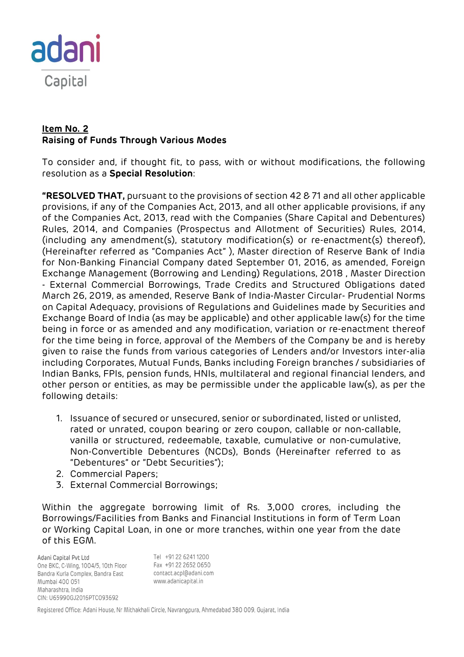

# **Item No. 2 Raising of Funds Through Various Modes**

To consider and, if thought fit, to pass, with or without modifications, the following resolution as a **Special Resolution**:

**"RESOLVED THAT,** pursuant to the provisions of section 42 & 71 and all other applicable provisions, if any of the Companies Act, 2013, and all other applicable provisions, if any of the Companies Act, 2013, read with the Companies (Share Capital and Debentures) Rules, 2014, and Companies (Prospectus and Allotment of Securities) Rules, 2014, (including any amendment(s), statutory modification(s) or re-enactment(s) thereof), (Hereinafter referred as "Companies Act" ), Master direction of Reserve Bank of India for Non-Banking Financial Company dated September 01, 2016, as amended, Foreign Exchange Management (Borrowing and Lending) Regulations, 2018 , Master Direction - External Commercial Borrowings, Trade Credits and Structured Obligations dated March 26, 2019, as amended, Reserve Bank of India-Master Circular- Prudential Norms on Capital Adequacy, provisions of Regulations and Guidelines made by Securities and Exchange Board of India (as may be applicable) and other applicable law(s) for the time being in force or as amended and any modification, variation or re-enactment thereof for the time being in force, approval of the Members of the Company be and is hereby given to raise the funds from various categories of Lenders and/or Investors inter-alia including Corporates, Mutual Funds, Banks including Foreign branches / subsidiaries of Indian Banks, FPIs, pension funds, HNIs, multilateral and regional financial lenders, and other person or entities, as may be permissible under the applicable law(s), as per the following details:

- 1. Issuance of secured or unsecured, senior or subordinated, listed or unlisted, rated or unrated, coupon bearing or zero coupon, callable or non-callable, vanilla or structured, redeemable, taxable, cumulative or non-cumulative, Non-Convertible Debentures (NCDs), Bonds (Hereinafter referred to as "Debentures" or "Debt Securities");
- 2. Commercial Papers;
- 3. External Commercial Borrowings;

Within the aggregate borrowing limit of Rs. 3,000 crores, including the Borrowings/Facilities from Banks and Financial Institutions in form of Term Loan or Working Capital Loan, in one or more tranches, within one year from the date of this EGM.

Adani Capital Pvt Ltd Tel +91 22 6241 1200 One BKC, C-Wing, 1004/5, 10th Floor Fax +91 22 2652 0650 Bandra Kurla Complex, Bandra East contact.acpl@adani.com www.adanicapital.in Mumbai 400 051 Maharashtra, India CIN: U65990GJ2016PTC093692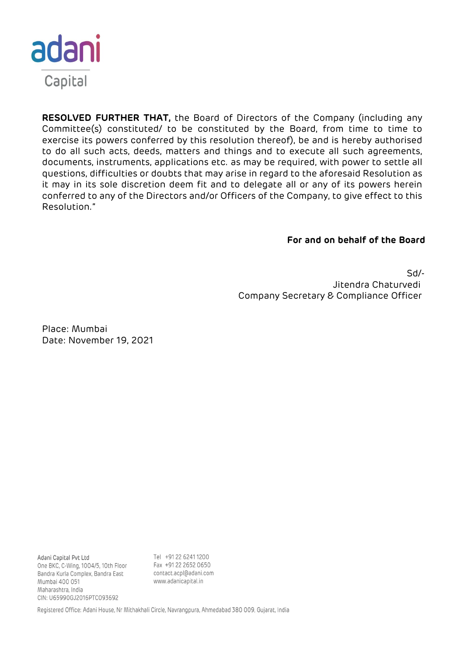

**RESOLVED FURTHER THAT,** the Board of Directors of the Company (including any Committee(s) constituted/ to be constituted by the Board, from time to time to exercise its powers conferred by this resolution thereof), be and is hereby authorised to do all such acts, deeds, matters and things and to execute all such agreements, documents, instruments, applications etc. as may be required, with power to settle all questions, difficulties or doubts that may arise in regard to the aforesaid Resolution as it may in its sole discretion deem fit and to delegate all or any of its powers herein conferred to any of the Directors and/or Officers of the Company, to give effect to this Resolution."

### **For and on behalf of the Board**

Sd/- Jitendra Chaturvedi Company Secretary & Compliance Officer

Place: Mumbai Date: November 19, 2021

Adani Capital Pvt Ltd One BKC, C-Wing, 1004/5, 10th Floor Bandra Kurla Complex, Bandra East Mumbai 400 051 Maharashtra, India CIN: U65990GJ2016PTC093692

Tel +91 22 6241 1200 Fax +91 22 2652 0650 contact.acpl@adani.com www.adanicapital.in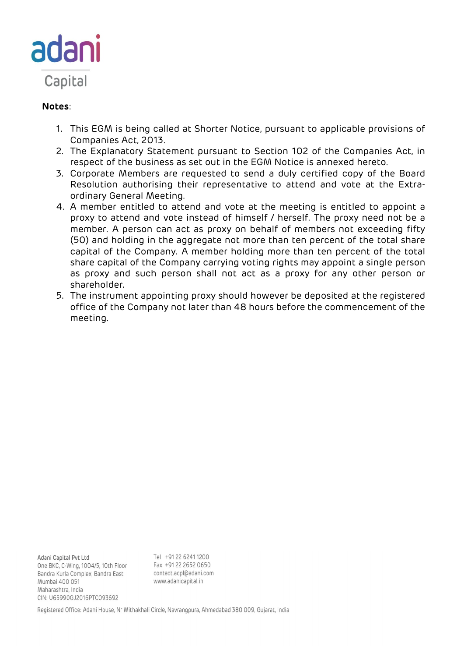

# **Notes**:

- 1. This EGM is being called at Shorter Notice, pursuant to applicable provisions of Companies Act, 2013.
- 2. The Explanatory Statement pursuant to Section 102 of the Companies Act, in respect of the business as set out in the EGM Notice is annexed hereto.
- 3. Corporate Members are requested to send a duly certified copy of the Board Resolution authorising their representative to attend and vote at the Extraordinary General Meeting.
- 4. A member entitled to attend and vote at the meeting is entitled to appoint a proxy to attend and vote instead of himself / herself. The proxy need not be a member. A person can act as proxy on behalf of members not exceeding fifty (50) and holding in the aggregate not more than ten percent of the total share capital of the Company. A member holding more than ten percent of the total share capital of the Company carrying voting rights may appoint a single person as proxy and such person shall not act as a proxy for any other person or shareholder.
- 5. The instrument appointing proxy should however be deposited at the registered office of the Company not later than 48 hours before the commencement of the meeting.

Adani Capital Pvt Ltd One BKC, C-Wing, 1004/5, 10th Floor Bandra Kurla Complex, Bandra East Mumbai 400 051 Maharashtra, India CIN: U65990GJ2016PTC093692

Tel +91 22 6241 1200 Fax +91 22 2652 0650 contact.acpl@adani.com www.adanicapital.in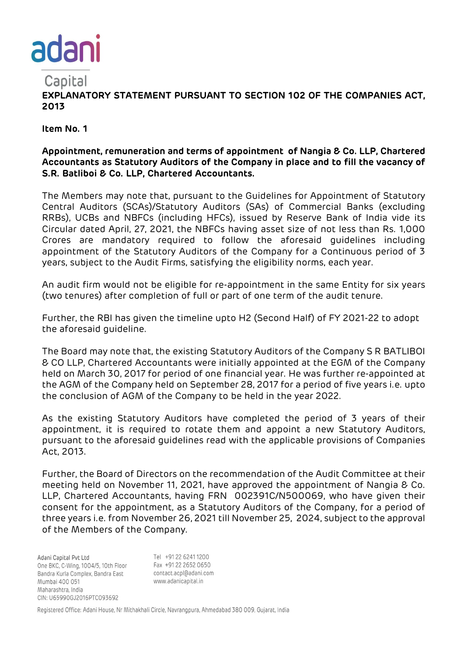

**EXPLANATORY STATEMENT PURSUANT TO SECTION 102 OF THE COMPANIES ACT, 2013**

**Item No. 1**

## **Appointment, remuneration and terms of appointment of Nangia & Co. LLP, Chartered Accountants as Statutory Auditors of the Company in place and to fill the vacancy of S.R. Batliboi & Co. LLP, Chartered Accountants.**

The Members may note that, pursuant to the Guidelines for Appointment of Statutory Central Auditors (SCAs)/Statutory Auditors (SAs) of Commercial Banks (excluding RRBs), UCBs and NBFCs (including HFCs), issued by Reserve Bank of India vide its Circular dated April, 27, 2021, the NBFCs having asset size of not less than Rs. 1,000 Crores are mandatory required to follow the aforesaid guidelines including appointment of the Statutory Auditors of the Company for a Continuous period of 3 years, subject to the Audit Firms, satisfying the eligibility norms, each year.

An audit firm would not be eligible for re-appointment in the same Entity for six years (two tenures) after completion of full or part of one term of the audit tenure.

Further, the RBI has given the timeline upto H2 (Second Half) of FY 2021-22 to adopt the aforesaid guideline.

The Board may note that, the existing Statutory Auditors of the Company S R BATLIBOI & CO LLP, Chartered Accountants were initially appointed at the EGM of the Company held on March 30, 2017 for period of one financial year. He was further re-appointed at the AGM of the Company held on September 28, 2017 for a period of five years i.e. upto the conclusion of AGM of the Company to be held in the year 2022.

As the existing Statutory Auditors have completed the period of 3 years of their appointment, it is required to rotate them and appoint a new Statutory Auditors, pursuant to the aforesaid guidelines read with the applicable provisions of Companies Act, 2013.

Further, the Board of Directors on the recommendation of the Audit Committee at their meeting held on November 11, 2021, have approved the appointment of Nangia & Co. LLP, Chartered Accountants, having FRN 002391C/N500069, who have given their consent for the appointment, as a Statutory Auditors of the Company, for a period of three years i.e. from November 26, 2021 till November 25, 2024, subject to the approval of the Members of the Company.

Adani Capital Pvt Ltd One BKC, C-Wing, 1004/5, 10th Floor Bandra Kurla Complex, Bandra East Mumbai 400 051 Maharashtra, India CIN: U65990GJ2016PTC093692

Tel +91 22 6241 1200 Fax +91 22 2652 0650 contact.acpl@adani.com www.adanicapital.in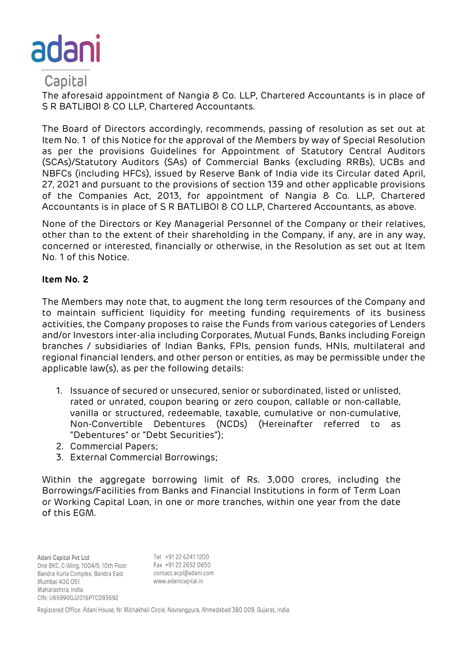

The aforesaid appointment of Nangia & Co. LLP, Chartered Accountants is in place of S R BATLIBOI & CO LLP, Chartered Accountants.

The Board of Directors accordingly, recommends, passing of resolution as set out at Item No. 1 of this Notice for the approval of the Members by way of Special Resolution as per the provisions Guidelines for Appointment of Statutory Central Auditors (SCAs)/Statutory Auditors (SAs) of Commercial Banks (excluding RRBs), UCBs and NBFCs (including HFCs), issued by Reserve Bank of India vide its Circular dated April, 27, 2021 and pursuant to the provisions of section 139 and other applicable provisions of the Companies Act, 2013, for appointment of Nangia & Co. LLP, Chartered Accountants is in place of S R BATLIBOI & CO LLP, Chartered Accountants, as above.

None of the Directors or Key Managerial Personnel of the Company or their relatives, other than to the extent of their shareholding in the Company, if any, are in any way, concerned or interested, financially or otherwise, in the Resolution as set out at Item No. 1 of this Notice.

## **Item No. 2**

The Members may note that, to augment the long term resources of the Company and to maintain sufficient liquidity for meeting funding requirements of its business activities, the Company proposes to raise the Funds from various categories of Lenders and/or Investors inter-alia including Corporates, Mutual Funds, Banks including Foreign branches / subsidiaries of Indian Banks, FPIs, pension funds, HNIs, multilateral and regional financial lenders, and other person or entities, as may be permissible under the applicable law(s), as per the following details:

- 1. Issuance of secured or unsecured, senior or subordinated, listed or unlisted, rated or unrated, coupon bearing or zero coupon, callable or non-callable, vanilla or structured, redeemable, taxable, cumulative or non-cumulative, Non-Convertible Debentures (NCDs) (Hereinafter referred to as "Debentures" or "Debt Securities");
- 2. Commercial Papers;
- 3. External Commercial Borrowings;

Within the aggregate borrowing limit of Rs. 3,000 crores, including the Borrowings/Facilities from Banks and Financial Institutions in form of Term Loan or Working Capital Loan, in one or more tranches, within one year from the date of this EGM.

Tel +91 22 6241 1200 Adani Capital Pvt Ltd One BKC, C-Wing, 1004/5, 10th Floor Bandra Kurla Complex, Bandra East Mumbai 400 051 Maharashtra, India CIN: U65990GJ2016PTC093692

Fax +91 22 2652 0650 contact.acpl@adani.com www.adanicapital.in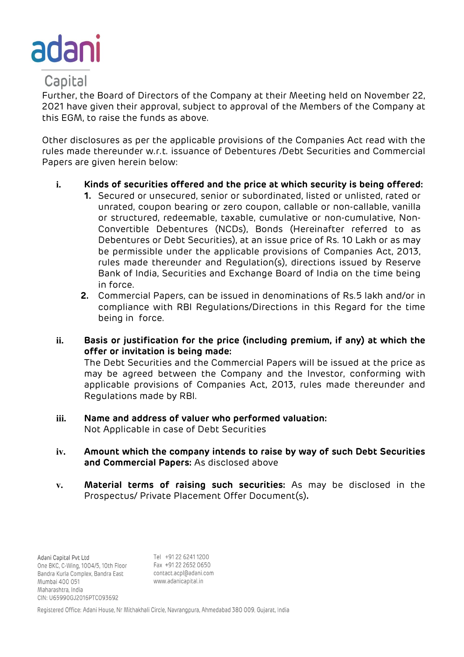

Further, the Board of Directors of the Company at their Meeting held on November 22, 2021 have given their approval, subject to approval of the Members of the Company at this EGM, to raise the funds as above.

Other disclosures as per the applicable provisions of the Companies Act read with the rules made thereunder w.r.t. issuance of Debentures /Debt Securities and Commercial Papers are given herein below:

## **i. Kinds of securities offered and the price at which security is being offered:**

- **1.** Secured or unsecured, senior or subordinated, listed or unlisted, rated or unrated, coupon bearing or zero coupon, callable or non-callable, vanilla or structured, redeemable, taxable, cumulative or non-cumulative, Non-Convertible Debentures (NCDs), Bonds (Hereinafter referred to as Debentures or Debt Securities), at an issue price of Rs. 10 Lakh or as may be permissible under the applicable provisions of Companies Act, 2013, rules made thereunder and Regulation(s), directions issued by Reserve Bank of India, Securities and Exchange Board of India on the time being in force.
- **2.** Commercial Papers, can be issued in denominations of Rs.5 lakh and/or in compliance with RBI Regulations/Directions in this Regard for the time being in force.
- **ii. Basis or justification for the price (including premium, if any) at which the offer or invitation is being made:**

The Debt Securities and the Commercial Papers will be issued at the price as may be agreed between the Company and the Investor, conforming with applicable provisions of Companies Act, 2013, rules made thereunder and Regulations made by RBI.

# **iii. Name and address of valuer who performed valuation:**

Not Applicable in case of Debt Securities

- **iv. Amount which the company intends to raise by way of such Debt Securities and Commercial Papers:** As disclosed above
- **v. Material terms of raising such securities:** As may be disclosed in the Prospectus/ Private Placement Offer Document(s)**.**

Tel +91 22 6241 1200 Adani Capital Pvt Ltd Fax +91 22 2652 0650 One BKC, C-Wing, 1004/5, 10th Floor Bandra Kurla Complex, Bandra East contact.acpl@adani.com www.adanicapital.in Mumbai 400 051 Maharashtra, India CIN: U65990GJ2016PTC093692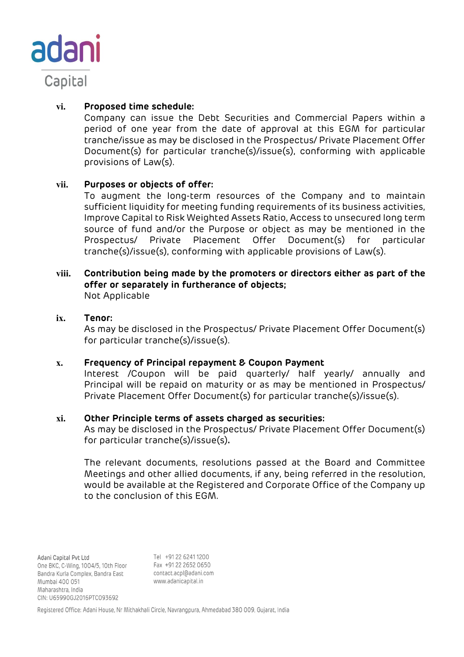

# **vi. Proposed time schedule:**

Company can issue the Debt Securities and Commercial Papers within a period of one year from the date of approval at this EGM for particular tranche/issue as may be disclosed in the Prospectus/ Private Placement Offer Document(s) for particular tranche(s)/issue(s), conforming with applicable provisions of Law(s).

## **vii. Purposes or objects of offer:**

To augment the long-term resources of the Company and to maintain sufficient liquidity for meeting funding requirements of its business activities, Improve Capital to Risk Weighted Assets Ratio, Access to unsecured long term source of fund and/or the Purpose or object as may be mentioned in the Prospectus/ Private Placement Offer Document(s) for particular tranche(s)/issue(s), conforming with applicable provisions of Law(s).

### **viii. Contribution being made by the promoters or directors either as part of the offer or separately in furtherance of objects;**  Not Applicable

### **ix. Tenor:**

As may be disclosed in the Prospectus/ Private Placement Offer Document(s) for particular tranche(s)/issue(s).

## **x. Frequency of Principal repayment & Coupon Payment**

Interest /Coupon will be paid quarterly/ half yearly/ annually and Principal will be repaid on maturity or as may be mentioned in Prospectus/ Private Placement Offer Document(s) for particular tranche(s)/issue(s).

## **xi. Other Principle terms of assets charged as securities:**

As may be disclosed in the Prospectus/ Private Placement Offer Document(s) for particular tranche(s)/issue(s)**.** 

The relevant documents, resolutions passed at the Board and Committee Meetings and other allied documents, if any, being referred in the resolution, would be available at the Registered and Corporate Office of the Company up to the conclusion of this EGM.

Tel +91 22 6241 1200 Adani Capital Pvt Ltd Fax +91 22 2652 0650 One BKC, C-Wing, 1004/5, 10th Floor Bandra Kurla Complex, Bandra East contact.acpl@adani.com www.adanicapital.in Mumbai 400 051 Maharashtra, India CIN: U65990GJ2016PTC093692